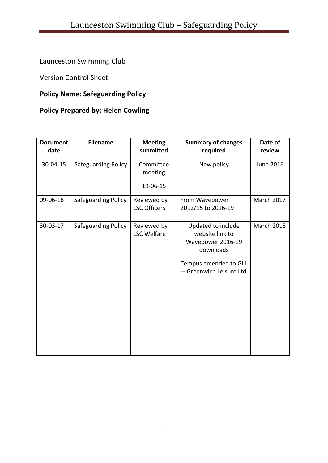# Launceston Swimming Club

Version Control Sheet

## **Policy Name: Safeguarding Policy**

## **Policy Prepared by: Helen Cowling**

| <b>Document</b><br>date | <b>Filename</b>     | <b>Meeting</b><br>submitted        | <b>Summary of changes</b><br>required                                                            | Date of<br>review |
|-------------------------|---------------------|------------------------------------|--------------------------------------------------------------------------------------------------|-------------------|
| 30-04-15                | Safeguarding Policy | Committee<br>meeting               | New policy                                                                                       | <b>June 2016</b>  |
|                         |                     | 19-06-15                           |                                                                                                  |                   |
| 09-06-16                | Safeguarding Policy | Reviewed by<br><b>LSC Officers</b> | From Wavepower<br>2012/15 to 2016-19                                                             | <b>March 2017</b> |
| 30-03-17                | Safeguarding Policy | Reviewed by<br><b>LSC Welfare</b>  | Updated to include<br>website link to<br>Wavepower 2016-19<br>downloads<br>Tempus amended to GLL | <b>March 2018</b> |
|                         |                     |                                    | - Greenwich Leisure Ltd                                                                          |                   |
|                         |                     |                                    |                                                                                                  |                   |
|                         |                     |                                    |                                                                                                  |                   |
|                         |                     |                                    |                                                                                                  |                   |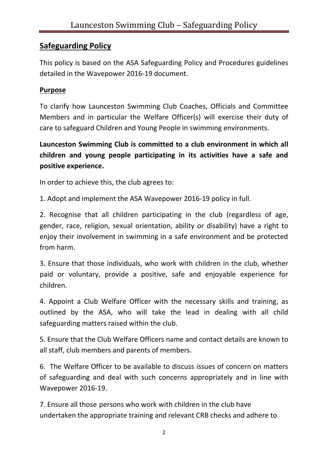## **Safeguarding Policy**

This policy is based on the ASA Safeguarding Policy and Procedures guidelines detailed in the Wavepower 2016-19 document.

#### **Purpose**

To clarify how Launceston Swimming Club Coaches, Officials and Committee Members and in particular the Welfare Officer(s) will exercise their duty of care to safeguard Children and Young People in swimming environments.

**Launceston Swimming Club is committed to a club environment in which all children and young people participating in its activities have a safe and positive experience.**

In order to achieve this, the club agrees to:

1. Adopt and implement the ASA Wavepower 2016-19 policy in full.

2. Recognise that all children participating in the club (regardless of age, gender, race, religion, sexual orientation, ability or disability) have a right to enjoy their involvement in swimming in a safe environment and be protected from harm.

3. Ensure that those individuals, who work with children in the club, whether paid or voluntary, provide a positive, safe and enjoyable experience for children.

4. Appoint a Club Welfare Officer with the necessary skills and training, as outlined by the ASA, who will take the lead in dealing with all child safeguarding matters raised within the club.

5. Ensure that the Club Welfare Officers name and contact details are known to all staff, club members and parents of members.

6. The Welfare Officer to be available to discuss issues of concern on matters of safeguarding and deal with such concerns appropriately and in line with Wavepower 2016-19.

7. Ensure all those persons who work with children in the club have undertaken the appropriate training and relevant CRB checks and adhere to